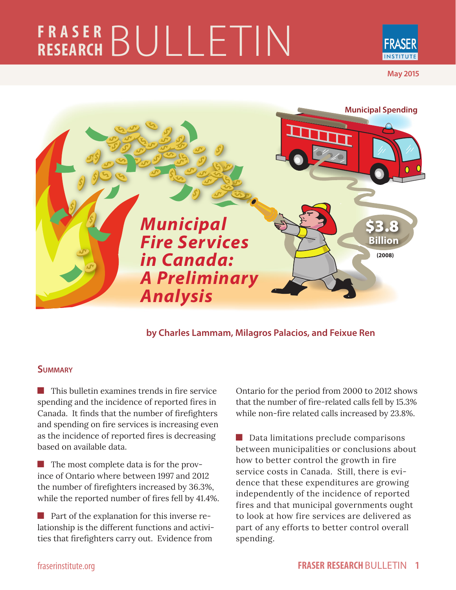# **FRASER RESEARCH** BULLETIN



**May 2015**



**by Charles Lammam, Milagros Palacios, and Feixue Ren**

#### **Summary**

**This bullet in examines trends in fire service** spending and the incidence of reported fires in Canada. It finds that the number of firefighters and spending on fire services is increasing even as the incidence of reported fires is decreasing based on available data.

The most complete data is for the province of Ontario where between 1997 and 2012 the number of firefighters increased by 36.3%, while the reported number of fires fell by 41.4%.

**Part of the explanation for this inverse re**lationship is the different functions and activities that firefighters carry out. Evidence from

Ontario for the period from 2000 to 2012 shows that the number of fire-related calls fell by 15.3% while non-fire related calls increased by 23.8%.

Data limitations preclude comparisons between municipalities or conclusions about how to better control the growth in fire service costs in Canada. Still, there is evidence that these expenditures are growing independently of the incidence of reported fires and that municipal governments ought to look at how fire services are delivered as part of any efforts to better control overall spending.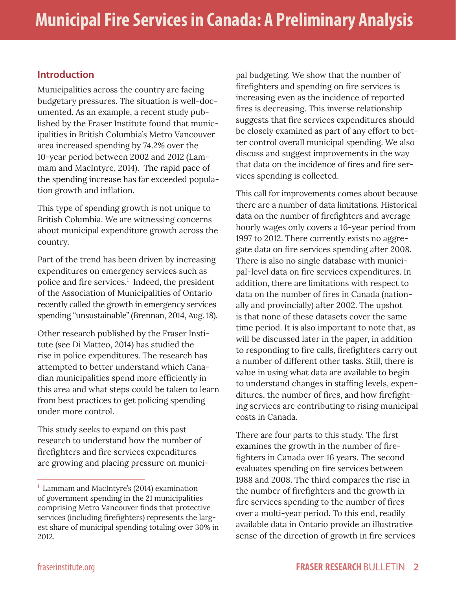### **Introduction**

Municipalities across the country are facing budgetary pressures. The situation is well-documented. As an example, a recent study published by the Fraser Institute found that municipalities in British Columbia's Metro Vancouver area increased spending by 74.2% over the 10-year period between 2002 and 2012 (Lammam and MacIntyre, 2014). The rapid pace of the spending increase has far exceeded population growth and inflation.

This type of spending growth is not unique to British Columbia. We are witnessing concerns about municipal expenditure growth across the country.

Part of the trend has been driven by increasing expenditures on emergency services such as police and fire services.<sup>1</sup> Indeed, the president of the Association of Municipalities of Ontario recently called the growth in emergency services spending "unsustainable" (Brennan, 2014, Aug. 18).

Other research published by the Fraser Institute (see Di Matteo, 2014) has studied the rise in police expenditures. The research has attempted to better understand which Canadian municipalities spend more efficiently in this area and what steps could be taken to learn from best practices to get policing spending under more control.

This study seeks to expand on this past research to understand how the number of firefighters and fire services expenditures are growing and placing pressure on munici-

pal budgeting. We show that the number of firefighters and spending on fire services is increasing even as the incidence of reported fires is decreasing. This inverse relationship suggests that fire services expenditures should be closely examined as part of any effort to better control overall municipal spending. We also discuss and suggest improvements in the way that data on the incidence of fires and fire services spending is collected.

This call for improvements comes about because there are a number of data limitations. Historical data on the number of firefighters and average hourly wages only covers a 16-year period from 1997 to 2012. There currently exists no aggregate data on fire services spending after 2008. There is also no single database with municipal-level data on fire services expenditures. In addition, there are limitations with respect to data on the number of fires in Canada (nationally and provincially) after 2002. The upshot is that none of these datasets cover the same time period. It is also important to note that, as will be discussed later in the paper, in addition to responding to fire calls, firefighters carry out a number of different other tasks. Still, there is value in using what data are available to begin to understand changes in staffing levels, expenditures, the number of fires, and how firefighting services are contributing to rising municipal costs in Canada.

There are four parts to this study. The first examines the growth in the number of firefighters in Canada over 16 years. The second evaluates spending on fire services between 1988 and 2008. The third compares the rise in the number of firefighters and the growth in fire services spending to the number of fires over a multi-year period. To this end, readily available data in Ontario provide an illustrative sense of the direction of growth in fire services

 $1$  Lammam and MacIntyre's (2014) examination of government spending in the 21 municipalities comprising Metro Vancouver finds that protective services (including firefighters) represents the largest share of municipal spending totaling over 30% in 2012.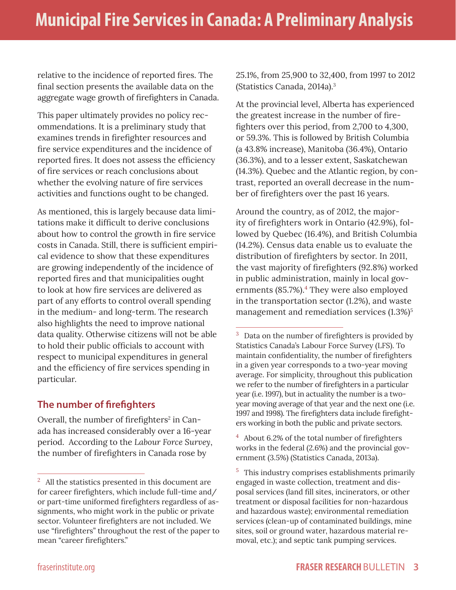relative to the incidence of reported fires. The final section presents the available data on the aggregate wage growth of firefighters in Canada.

This paper ultimately provides no policy recommendations. It is a preliminary study that examines trends in firefighter resources and fire service expenditures and the incidence of reported fires. It does not assess the efficiency of fire services or reach conclusions about whether the evolving nature of fire services activities and functions ought to be changed.

As mentioned, this is largely because data limitations make it difficult to derive conclusions about how to control the growth in fire service costs in Canada. Still, there is sufficient empirical evidence to show that these expenditures are growing independently of the incidence of reported fires and that municipalities ought to look at how fire services are delivered as part of any efforts to control overall spending in the medium- and long-term. The research also highlights the need to improve national data quality. Otherwise citizens will not be able to hold their public officials to account with respect to municipal expenditures in general and the efficiency of fire services spending in particular.

### **The number of firefighters**

Overall, the number of firefighters<sup>2</sup> in Canada has increased considerably over a 16-year period. According to the *Labour Force Survey*, the number of firefighters in Canada rose by

25.1%, from 25,900 to 32,400, from 1997 to 2012 (Statistics Canada, 2014a).3

At the provincial level, Alberta has experienced the greatest increase in the number of firefighters over this period, from 2,700 to 4,300, or 59.3%. This is followed by British Columbia (a 43.8% increase), Manitoba (36.4%), Ontario (36.3%), and to a lesser extent, Saskatchewan (14.3%). Quebec and the Atlantic region, by contrast, reported an overall decrease in the number of firefighters over the past 16 years.

Around the country, as of 2012, the majority of firefighters work in Ontario (42.9%), followed by Quebec (16.4%), and British Columbia (14.2%). Census data enable us to evaluate the distribution of firefighters by sector. In 2011, the vast majority of firefighters (92.8%) worked in public administration, mainly in local governments (85.7%).<sup>4</sup> They were also employed in the transportation sector (1.2%), and waste management and remediation services  $(1.3\%)^5$ 

 $4$  About 6.2% of the total number of firefighters works in the federal (2.6%) and the provincial government (3.5%) (Statistics Canada, 2013a).

 $2$  All the statistics presented in this document are for career firefighters, which include full-time and/ or part-time uniformed firefighters regardless of assignments, who might work in the public or private sector. Volunteer firefighters are not included. We use "firefighters" throughout the rest of the paper to mean "career firefighters."

<sup>&</sup>lt;sup>3</sup> Data on the number of firefighters is provided by Statistics Canada's Labour Force Survey (LFS). To maintain confidentiality, the number of firefighters in a given year corresponds to a two-year moving average. For simplicity, throughout this publication we refer to the number of firefighters in a particular year (i.e. 1997), but in actuality the number is a twoyear moving average of that year and the next one (i.e. 1997 and 1998). The firefighters data include firefighters working in both the public and private sectors.

<sup>&</sup>lt;sup>5</sup> This industry comprises establishments primarily engaged in waste collection, treatment and disposal services (land fill sites, incinerators, or other treatment or disposal facilities for non-hazardous and hazardous waste); environmental remediation services (clean-up of contaminated buildings, mine sites, soil or ground water, hazardous material removal, etc.); and septic tank pumping services.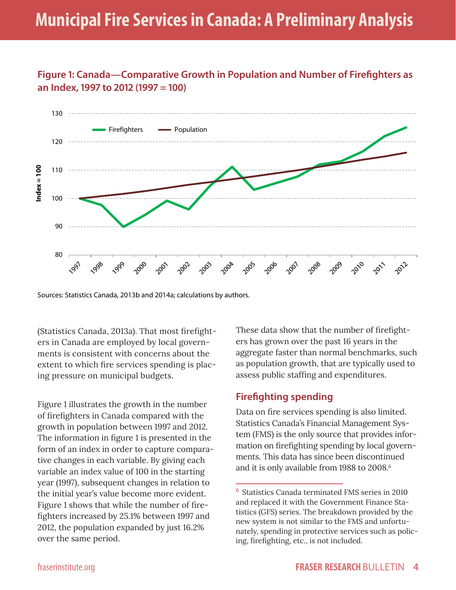# **Municipal Fire Services in Canada: A Preliminary Analysis**

## **Figure 1: Canada—Comparative Growth in Population and Number of Firefighters as an Index, 1997 to 2012 (1997 = 100)**



Sources: Statistics Canada, 2013b and 2014a; calculations by authors.

(Statistics Canada, 2013a). That most firefighters in Canada are employed by local governments is consistent with concerns about the extent to which fire services spending is placing pressure on municipal budgets.

Figure 1 illustrates the growth in the number of firefighters in Canada compared with the growth in population between 1997 and 2012. The information in figure 1 is presented in the form of an index in order to capture comparative changes in each variable. By giving each variable an index value of 100 in the starting year (1997), subsequent changes in relation to the initial year's value become more evident. Figure 1 shows that while the number of firefighters increased by 25.1% between 1997 and 2012, the population expanded by just 16.2% over the same period.

These data show that the number of firefighters has grown over the past 16 years in the aggregate faster than normal benchmarks, such as population growth, that are typically used to assess public staffing and expenditures.

#### **Firefighting spending**

Data on fire services spending is also limited. Statistics Canada's Financial Management System (FMS) is the only source that provides information on firefighting spending by local governments. This data has since been discontinued and it is only available from 1988 to 2008.<sup>6</sup>

<sup>6</sup> Statistics Canada terminated FMS series in 2010 and replaced it with the Government Finance Statistics (GFS) series. The breakdown provided by the new system is not similar to the FMS and unfortunately, spending in protective services such as policing, firefighting, etc., is not included.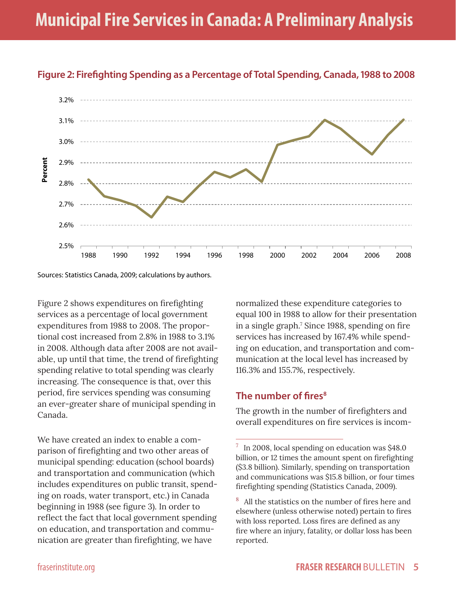



Sources: Statistics Canada, 2009; calculations by authors.

Figure 2 shows expenditures on firefighting services as a percentage of local government expenditures from 1988 to 2008. The proportional cost increased from 2.8% in 1988 to 3.1% in 2008. Although data after 2008 are not available, up until that time, the trend of firefighting spending relative to total spending was clearly increasing. The consequence is that, over this period, fire services spending was consuming an ever-greater share of municipal spending in Canada.

We have created an index to enable a comparison of firefighting and two other areas of municipal spending: education (school boards) and transportation and communication (which includes expenditures on public transit, spending on roads, water transport, etc.) in Canada beginning in 1988 (see figure 3). In order to reflect the fact that local government spending on education, and transportation and communication are greater than firefighting, we have

normalized these expenditure categories to equal 100 in 1988 to allow for their presentation in a single graph.<sup>7</sup> Since 1988, spending on fire services has increased by 167.4% while spending on education, and transportation and communication at the local level has increased by 116.3% and 155.7%, respectively.

### **The number of fires<sup>8</sup>**

The growth in the number of firefighters and overall expenditures on fire services is incom-

 $7 \text{ In } 2008$ , local spending on education was \$48.0 billion, or 12 times the amount spent on firefighting (\$3.8 billion). Similarly, spending on transportation and communications was \$15.8 billion, or four times firefighting spending (Statistics Canada, 2009).

<sup>8</sup> All the statistics on the number of fires here and elsewhere (unless otherwise noted) pertain to fires with loss reported. Loss fires are defined as any fire where an injury, fatality, or dollar loss has been reported.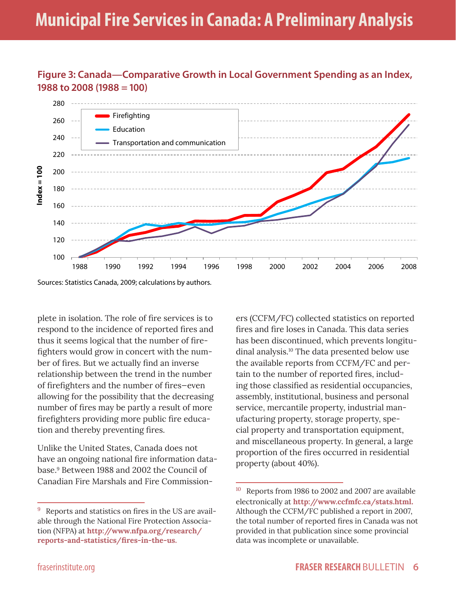



Sources: Statistics Canada, 2009; calculations by authors.

plete in isolation. The role of fire services is to respond to the incidence of reported fires and thus it seems logical that the number of firefighters would grow in concert with the number of fires. But we actually find an inverse relationship between the trend in the number of firefighters and the number of fires—even allowing for the possibility that the decreasing number of fires may be partly a result of more firefighters providing more public fire education and thereby preventing fires.

Unlike the United States, Canada does not have an ongoing national fire information database.9 Between 1988 and 2002 the Council of Canadian Fire Marshals and Fire Commission-

ers (CCFM/FC) collected statistics on reported fires and fire loses in Canada. This data series has been discontinued, which prevents longitudinal analysis.10 The data presented below use the available reports from CCFM/FC and pertain to the number of reported fires, including those classified as residential occupancies, assembly, institutional, business and personal service, mercantile property, industrial manufacturing property, storage property, special property and transportation equipment, and miscellaneous property. In general, a large proportion of the fires occurred in residential property (about 40%).

<sup>&</sup>lt;sup>9</sup> Reports and statistics on fires in the US are available through the National Fire Protection Association (NFPA) at **http://www.nfpa.org/research/ reports-and-statistics/fires-in-the-us.** 

<sup>&</sup>lt;sup>10</sup> Reports from 1986 to 2002 and 2007 are available electronically at **http://www.ccfmfc.ca/stats.html.**  Although the CCFM/FC published a report in 2007, the total number of reported fires in Canada was not provided in that publication since some provincial data was incomplete or unavailable.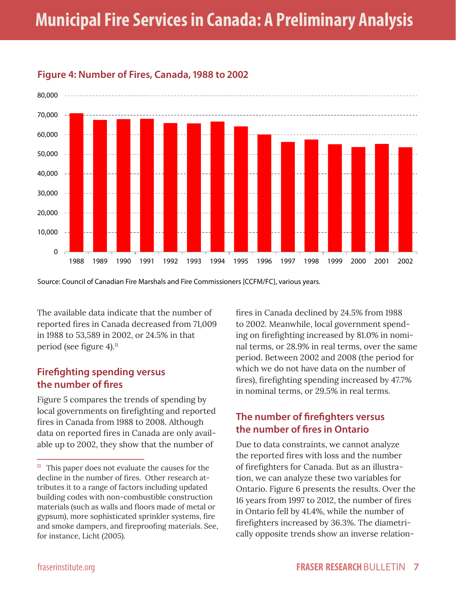# **Municipal Fire Services in Canada: A Preliminary Analysis**



#### **Figure 4: Number of Fires, Canada, 1988 to 2002**

Source: Council of Canadian Fire Marshals and Fire Commissioners [CCFM/FC], various years.

The available data indicate that the number of reported fires in Canada decreased from 71,009 in 1988 to 53,589 in 2002, or 24.5% in that period (see figure 4).<sup>11</sup>

### **Firefighting spending versus the number of fires**

Figure 5 compares the trends of spending by local governments on firefighting and reported fires in Canada from 1988 to 2008. Although data on reported fires in Canada are only available up to 2002, they show that the number of

fires in Canada declined by 24.5% from 1988 to 2002. Meanwhile, local government spending on firefighting increased by 81.0% in nominal terms, or 28.9% in real terms, over the same period. Between 2002 and 2008 (the period for which we do not have data on the number of fires), firefighting spending increased by 47.7% in nominal terms, or 29.5% in real terms.

# **The number of firefighters versus the number of fires in Ontario**

Due to data constraints, we cannot analyze the reported fires with loss and the number of firefighters for Canada. But as an illustration, we can analyze these two variables for Ontario. Figure 6 presents the results. Over the 16 years from 1997 to 2012, the number of fires in Ontario fell by 41.4%, while the number of firefighters increased by 36.3%. The diametrically opposite trends show an inverse relation-

 $11$  This paper does not evaluate the causes for the decline in the number of fires. Other research attributes it to a range of factors including updated building codes with non-combustible construction materials (such as walls and floors made of metal or gypsum), more sophisticated sprinkler systems, fire and smoke dampers, and fireproofing materials. See, for instance, Licht (2005).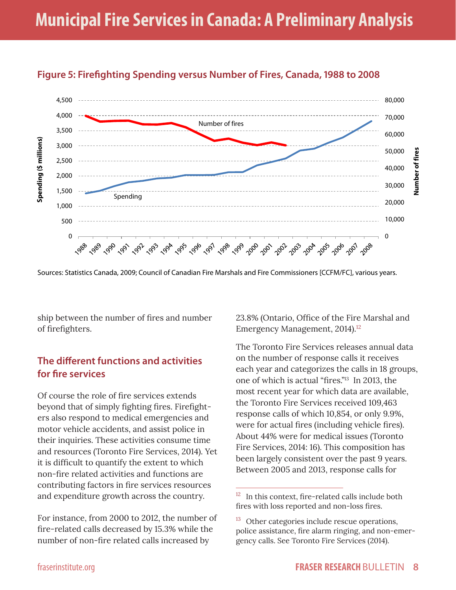

# **Figure 5: Firefighting Spending versus Number of Fires, Canada, 1988 to 2008**

Sources: Statistics Canada, 2009; Council of Canadian Fire Marshals and Fire Commissioners [CCFM/FC], various years.

ship between the number of fires and number of firefighters.

## **The different functions and activities for fire services**

Of course the role of fire services extends beyond that of simply fighting fires. Firefighters also respond to medical emergencies and motor vehicle accidents, and assist police in their inquiries. These activities consume time and resources (Toronto Fire Services, 2014). Yet it is difficult to quantify the extent to which non-fire related activities and functions are contributing factors in fire services resources and expenditure growth across the country.

For instance, from 2000 to 2012, the number of fire-related calls decreased by 15.3% while the number of non-fire related calls increased by

23.8% (Ontario, Office of the Fire Marshal and Emergency Management, 2014).<sup>12</sup>

The Toronto Fire Services releases annual data on the number of response calls it receives each year and categorizes the calls in 18 groups, one of which is actual "fires."13 In 2013, the most recent year for which data are available, the Toronto Fire Services received 109,463 response calls of which 10,854, or only 9.9%, were for actual fires (including vehicle fires). About 44% were for medical issues (Toronto Fire Services, 2014: 16). This composition has been largely consistent over the past 9 years. Between 2005 and 2013, response calls for

 $12$  In this context, fire-related calls include both fires with loss reported and non-loss fires.

<sup>&</sup>lt;sup>13</sup> Other categories include rescue operations, police assistance, fire alarm ringing, and non-emergency calls. See Toronto Fire Services (2014).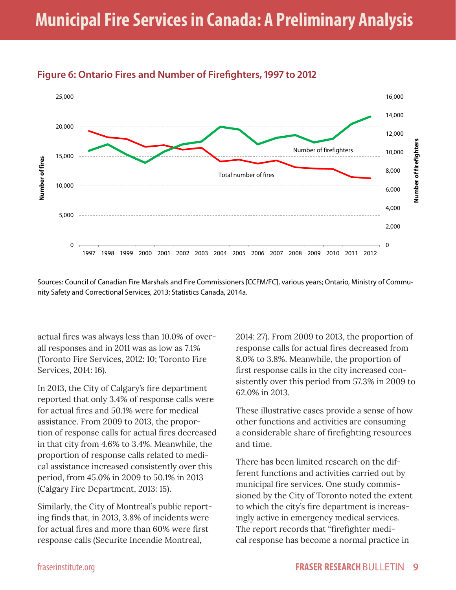

## **Figure 6: Ontario Fires and Number of Firefighters, 1997 to 2012**

Sources: Council of Canadian Fire Marshals and Fire Commissioners [CCFM/FC], various years; Ontario, Ministry of Community Safety and Correctional Services, 2013; Statistics Canada, 2014a.

actual fires was always less than 10.0% of overall responses and in 2011 was as low as 7.1% (Toronto Fire Services, 2012: 10; Toronto Fire Services, 2014: 16).

In 2013, the City of Calgary's fire department reported that only 3.4% of response calls were for actual fires and 50.1% were for medical assistance. From 2009 to 2013, the proportion of response calls for actual fires decreased in that city from 4.6% to 3.4%. Meanwhile, the proportion of response calls related to medical assistance increased consistently over this period, from 45.0% in 2009 to 50.1% in 2013 (Calgary Fire Department, 2013: 15).

Similarly, the City of Montreal's public reporting finds that, in 2013, 3.8% of incidents were for actual fires and more than 60% were first response calls (Securite Incendie Montreal,

2014: 27). From 2009 to 2013, the proportion of response calls for actual fires decreased from 8.0% to 3.8%. Meanwhile, the proportion of first response calls in the city increased consistently over this period from 57.3% in 2009 to 62.0% in 2013.

These illustrative cases provide a sense of how other functions and activities are consuming a considerable share of firefighting resources and time.

There has been limited research on the different functions and activities carried out by municipal fire services. One study commissioned by the City of Toronto noted the extent to which the city's fire department is increasingly active in emergency medical services. The report records that "firefighter medical response has become a normal practice in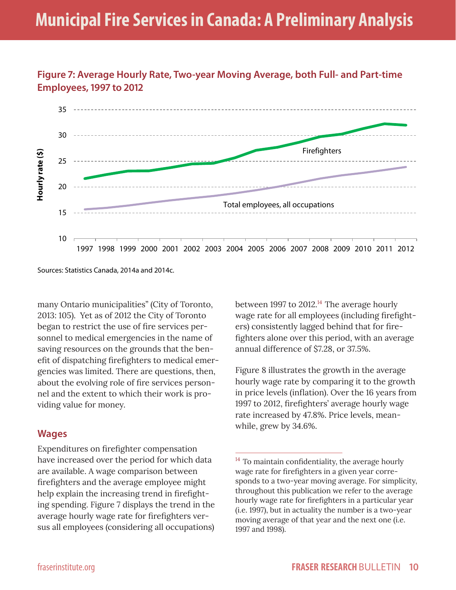

**Figure 7: Average Hourly Rate, Two-year Moving Average, both Full- and Part-time Employees, 1997 to 2012**

Sources: Statistics Canada, 2014a and 2014c.

many Ontario municipalities" (City of Toronto, 2013: 105). Yet as of 2012 the City of Toronto began to restrict the use of fire services personnel to medical emergencies in the name of saving resources on the grounds that the benefit of dispatching firefighters to medical emergencies was limited. There are questions, then, about the evolving role of fire services personnel and the extent to which their work is providing value for money.

#### **Wages**

Expenditures on firefighter compensation have increased over the period for which data are available. A wage comparison between firefighters and the average employee might help explain the increasing trend in firefighting spending. Figure 7 displays the trend in the average hourly wage rate for firefighters versus all employees (considering all occupations) between 1997 to 2012.<sup>14</sup> The average hourly wage rate for all employees (including firefighters) consistently lagged behind that for firefighters alone over this period, with an average annual difference of \$7.28, or 37.5%.

Figure 8 illustrates the growth in the average hourly wage rate by comparing it to the growth in price levels (inflation). Over the 16 years from 1997 to 2012, firefighters' average hourly wage rate increased by 47.8%. Price levels, meanwhile, grew by 34.6%.

 $14$  To maintain confidentiality, the average hourly wage rate for firefighters in a given year corresponds to a two-year moving average. For simplicity, throughout this publication we refer to the average hourly wage rate for firefighters in a particular year (i.e. 1997), but in actuality the number is a two-year moving average of that year and the next one (i.e. 1997 and 1998).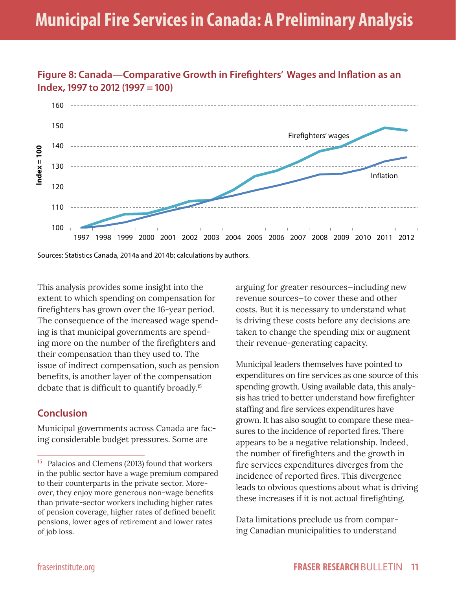

**Figure 8: Canada—Comparative Growth in Firefighters' Wages and Inflation as an** 

Sources: Statistics Canada, 2014a and 2014b; calculations by authors.

This analysis provides some insight into the extent to which spending on compensation for firefighters has grown over the 16-year period. The consequence of the increased wage spending is that municipal governments are spending more on the number of the firefighters and their compensation than they used to. The issue of indirect compensation, such as pension benefits, is another layer of the compensation debate that is difficult to quantify broadly.15

#### **Conclusion**

Municipal governments across Canada are facing considerable budget pressures. Some are

arguing for greater resources—including new revenue sources—to cover these and other costs. But it is necessary to understand what is driving these costs before any decisions are taken to change the spending mix or augment their revenue-generating capacity.

Municipal leaders themselves have pointed to expenditures on fire services as one source of this spending growth. Using available data, this analysis has tried to better understand how firefighter staffing and fire services expenditures have grown. It has also sought to compare these measures to the incidence of reported fires. There appears to be a negative relationship. Indeed, the number of firefighters and the growth in fire services expenditures diverges from the incidence of reported fires. This divergence leads to obvious questions about what is driving these increases if it is not actual firefighting.

Data limitations preclude us from comparing Canadian municipalities to understand

<sup>&</sup>lt;sup>15</sup> Palacios and Clemens (2013) found that workers in the public sector have a wage premium compared to their counterparts in the private sector. Moreover, they enjoy more generous non-wage benefits than private-sector workers including higher rates of pension coverage, higher rates of defined benefit pensions, lower ages of retirement and lower rates of job loss.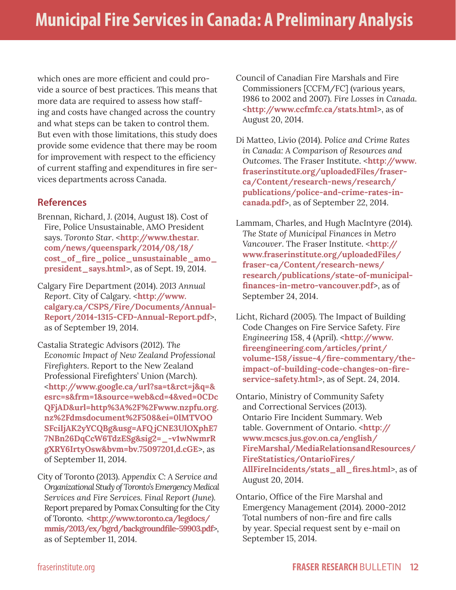which ones are more efficient and could provide a source of best practices. This means that more data are required to assess how staffing and costs have changed across the country and what steps can be taken to control them. But even with those limitations, this study does provide some evidence that there may be room for improvement with respect to the efficiency of current staffing and expenditures in fire services departments across Canada.

#### **References**

- Brennan, Richard, J. (2014, August 18). Cost of Fire, Police Unsustainable, AMO President says. *Toronto Star*. <**http://www.thestar. com/news/queenspark/2014/08/18/ cost\_of\_fire\_police\_unsustainable\_amo\_ president\_says.html**>, as of Sept. 19, 2014.
- Calgary Fire Department (2014). *2013 Annual Report*. City of Calgary. <**http://www. calgary.ca/CSPS/Fire/Documents/Annual-Report/2014-1315-CFD-Annual-Report.pdf**>, as of September 19, 2014.
- Castalia Strategic Advisors (2012). *The Economic Impact of New Zealand Professional Firefighters*. Report to the New Zealand Professional Firefighters' Union (March). <**http://www.google.ca/url?sa=t&rct=j&q=& esrc=s&frm=1&source=web&cd=4&ved=0CDc QFjAD&url=http%3A%2F%2Fwww.nzpfu.org. nz%2Fdmsdocument%2F508&ei=0lMTVOO SFciIjAK2yYCQBg&usg=AFQ jCNE3UlOXphE7 7NBn26DqCcW6TdzESg&sig2=\_-v1wNwmrR gXRY6IrtyOsw&bvm=bv.75097201,d.cGE**>, as of September 11, 2014.

City of Toronto (2013). *Appendix C: A Service and Organizational Study of Toronto's Emergency Medical Services and Fire Services. Final Report (June).* Report prepared by Pomax Consulting for the City of Toronto. <**http://www.toronto.ca/legdocs/ mmis/2013/ex/bgrd/backgroundfile-59903.pdf**>, as of September 11, 2014.

Council of Canadian Fire Marshals and Fire Commissioners [CCFM/FC] (various years, 1986 to 2002 and 2007). *Fire Losses in Canada*. <**http://www.ccfmfc.ca/stats.html**>, as of August 20, 2014.

- Di Matteo, Livio (2014). *Police and Crime Rates in Canada: A Comparison of Resources and Outcomes*. The Fraser Institute. <**http://www. fraserinstitute.org/uploadedFiles/fraserca/Content/research-news/research/ publications/police-and-crime-rates-incanada.pdf**>, as of September 22, 2014.
- Lammam, Charles, and Hugh MacIntyre (2014). *The State of Municipal Finances in Metro Vancouver*. The Fraser Institute. <**http:// www.fraserinstitute.org/uploadedFiles/ fraser-ca/Content/research-news/ research/publications/state-of-municipalfinances-in-metro-vancouver.pdf**>, as of September 24, 2014.
- Licht, Richard (2005). The Impact of Building Code Changes on Fire Service Safety. *Fire Engineering* 158, 4 (April). <**http://www. fireengineering.com/articles/print/ volume-158/issue-4/fire-commentary/theimpact-of-building-code-changes-on-fireservice-safety.html**>, as of Sept. 24, 2014.
- Ontario, Ministry of Community Safety and Correctional Services (2013). Ontario Fire Incident Summary. Web table. Government of Ontario. <**http:// www.mcscs.jus.gov.on.ca/english/ FireMarshal/MediaRelationsandResources/ FireStatistics/OntarioFires/ AllFireIncidents/stats\_all\_fires.html**>, as of August 20, 2014.

Ontario, Office of the Fire Marshal and Emergency Management (2014). 2000-2012 Total numbers of non-fire and fire calls by year. Special request sent by e-mail on September 15, 2014.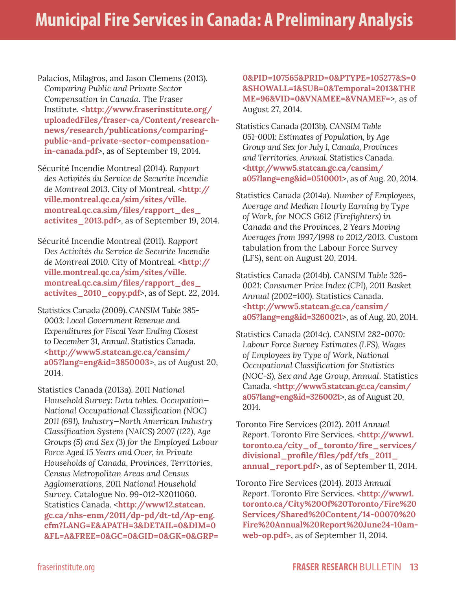- Palacios, Milagros, and Jason Clemens (2013). *Comparing Public and Private Sector Compensation in Canada*. The Fraser Institute. <**http://www.fraserinstitute.org/ uploadedFiles/fraser-ca/Content/researchnews/research/publications/comparingpublic-and-private-sector-compensationin-canada.pdf**>, as of September 19, 2014.
- Sécurité Incendie Montreal (2014). *Rapport des Activités du Service de Securite Incendie de Montreal 2013*. City of Montreal. <**http:// ville.montreal.qc.ca/sim/sites/ville. montreal.qc.ca.sim/files/rapport\_des\_ activites\_2013.pdf**>, as of September 19, 2014.
- Sécurité Incendie Montreal (2011). *Rapport Des Activités du Service de Securite Incendie de Montreal 2010.* City of Montreal. <**http:// ville.montreal.qc.ca/sim/sites/ville. montreal.qc.ca.sim/files/rapport\_des\_ activites\_2010\_copy.pdf**>, as of Sept. 22, 2014.
- Statistics Canada (2009). *CANSIM Table 385- 0003: Local Government Revenue and Expenditures for Fiscal Year Ending Closest to December 31, Annual*. Statistics Canada. <**http://www5.statcan.gc.ca/cansim/ a05?lang=eng&id=3850003**>, as of August 20, 2014.
- Statistics Canada (2013a). *2011 National Household Survey: Data tables. Occupation— National Occupational Classification (NOC) 2011 (691), Industry—North American Industry Classification System (NAICS) 2007 (122), Age Groups (5) and Sex (3) for the Employed Labour Force Aged 15 Years and Over, in Private Households of Canada, Provinces, Territories, Census Metropolitan Areas and Census Agglomerations, 2011 National Household Survey*. Catalogue No. 99-012-X2011060. Statistics Canada. <**http://www12.statcan. gc.ca/nhs-enm/2011/dp-pd/dt-td/Ap-eng. cfm?LANG=E&APATH=3&DETAIL=0&DIM=0 &FL=A&FREE=0&GC=0&GID=0&GK=0&GRP=**

**0&PID=107565&PRID=0&PTYPE=105277&S=0 &SHOWALL=1&SUB=0&Temporal=2013&THE ME=96&VID=0&VNAMEE=&VNAMEF=**>, as of August 27, 2014.

- Statistics Canada (2013b). *CANSIM Table 051-0001: Estimates of Population, by Age Group and Sex for July 1, Canada, Provinces and Territories, Annual*. Statistics Canada. <**http://www5.statcan.gc.ca/cansim/ a05?lang=eng&id=0510001**>, as of Aug. 20, 2014.
- Statistics Canada (2014a). *Number of Employees, Average and Median Hourly Earning by Type of Work, for NOCS G612 (Firefighters) in Canada and the Provinces, 2 Years Moving Averages from 1997/1998 to 2012/2013.* Custom tabulation from the Labour Force Survey (LFS), sent on August 20, 2014.

Statistics Canada (2014b). *CANSIM Table 326- 0021: Consumer Price Index (CPI), 2011 Basket Annual (2002=100)*. Statistics Canada. <**http://www5.statcan.gc.ca/cansim/ a05?lang=eng&id=3260021**>, as of Aug. 20, 2014.

- Statistics Canada (2014c). *CANSIM 282-0070: Labour Force Survey Estimates (LFS), Wages of Employees by Type of Work, National Occupational Classification for Statistics (NOC-S), Sex and Age Group, Annual*. Statistics Canada. <**http://www5.statcan.gc.ca/cansim/ a05?lang=eng&id=3260021**>, as of August 20, 2014.
- Toronto Fire Services (2012). 2*011 Annual Report*. Toronto Fire Services. <**http://www1. toronto.ca/city\_of\_toronto/fire\_services/ divisional\_profile/files/pdf/tfs\_2011\_ annual\_report.pdf**>, as of September 11, 2014.
- Toronto Fire Services (2014). *2013 Annual Report*. Toronto Fire Services. <**http://www1. toronto.ca/City%20Of%20Toronto/Fire%20 Services/Shared%20Content/14-00070%20 Fire%20Annual%20Report%20June24-10amweb-op.pdf>**, as of September 11, 2014.